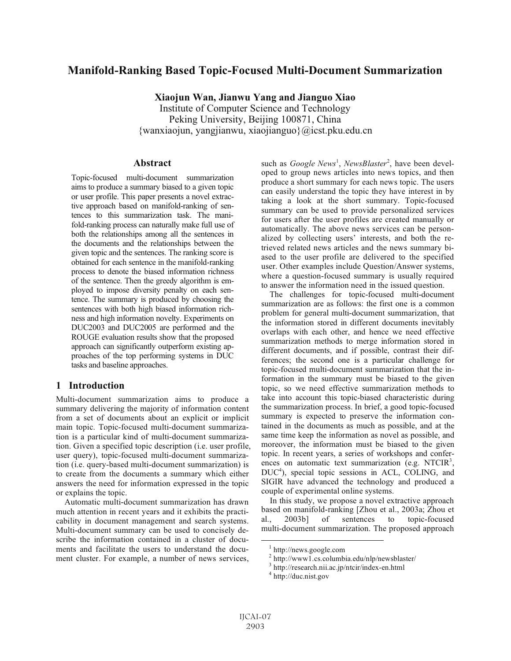# **Manifold-Ranking Based Topic-Focused Multi-Document Summarization**

**Xiaojun Wan, Jianwu Yang and Jianguo Xiao** Institute of Computer Science and Technology Peking University, Beijing 100871, China {wanxiaojun, yangjianwu, xiaojianguo}@icst.pku.edu.cn

### **Abstract**

Topic-focused multi-document summarization aims to produce a summary biased to a given topic or user profile. This paper presents a novel extractive approach based on manifold-ranking of sentences to this summarization task. The manifold-ranking process can naturally make full use of both the relationships among all the sentences in the documents and the relationships between the given topic and the sentences. The ranking score is obtained for each sentence in the manifold-ranking process to denote the biased information richness of the sentence. Then the greedy algorithm is employed to impose diversity penalty on each sentence. The summary is produced by choosing the sentences with both high biased information richness and high information novelty. Experiments on DUC2003 and DUC2005 are performed and the ROUGE evaluation results show that the proposed approach can significantly outperform existing approaches of the top performing systems in DUC tasks and baseline approaches.

# **1 Introduction**

Multi-document summarization aims to produce a summary delivering the majority of information content from a set of documents about an explicit or implicit main topic. Topic-focused multi-document summarization is a particular kind of multi-document summarization. Given a specified topic description (i.e. user profile, user query), topic-focused multi-document summarization (i.e. query-based multi-document summarization) is to create from the documents a summary which either answers the need for information expressed in the topic or explains the topic.

Automatic multi-document summarization has drawn much attention in recent years and it exhibits the practicability in document management and search systems. Multi-document summary can be used to concisely describe the information contained in a cluster of documents and facilitate the users to understand the document cluster. For example, a number of news services,

such as *Google News<sup>1</sup>*, *NewsBlaster<sup>2</sup>*, have been developed to group news articles into news topics, and then produce a short summary for each news topic. The users can easily understand the topic they have interest in by taking a look at the short summary. Topic-focused summary can be used to provide personalized services for users after the user profiles are created manually or automatically. The above news services can be personalized by collecting users' interests, and both the retrieved related news articles and the news summary biased to the user profile are delivered to the specified user. Other examples include Question/Answer systems, where a question-focused summary is usually required to answer the information need in the issued question.

The challenges for topic-focused multi-document summarization are as follows: the first one is a common problem for general multi-document summarization, that the information stored in different documents inevitably overlaps with each other, and hence we need effective summarization methods to merge information stored in different documents, and if possible, contrast their differences; the second one is a particular challenge for topic-focused multi-document summarization that the information in the summary must be biased to the given topic, so we need effective summarization methods to take into account this topic-biased characteristic during the summarization process. In brief, a good topic-focused summary is expected to preserve the information contained in the documents as much as possible, and at the same time keep the information as novel as possible, and moreover, the information must be biased to the given topic. In recent years, a series of workshops and conferences on automatic text summarization (e.g. NTCIR<sup>3</sup>, DUC4 ), special topic sessions in ACL, COLING, and SIGIR have advanced the technology and produced a couple of experimental online systems.

In this study, we propose a novel extractive approach based on manifold-ranking [Zhou et al., 2003a; Zhou et al., 2003b] of sentences to topic-focused multi-document summarization. The proposed approach

 $1$  http://news.google.com

<sup>&</sup>lt;sup>2</sup> http://www1.cs.columbia.edu/nlp/newsblaster/

<sup>3</sup> http://research.nii.ac.jp/ntcir/index-en.html

<sup>4</sup> http://duc.nist.gov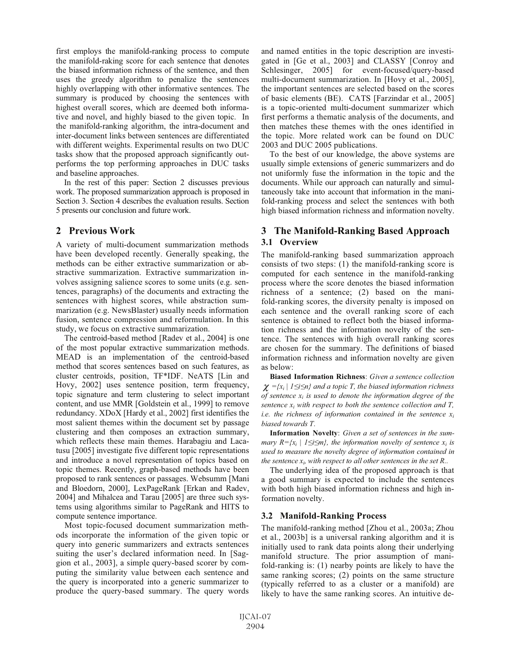first employs the manifold-ranking process to compute the manifold-raking score for each sentence that denotes the biased information richness of the sentence, and then uses the greedy algorithm to penalize the sentences highly overlapping with other informative sentences. The summary is produced by choosing the sentences with highest overall scores, which are deemed both informative and novel, and highly biased to the given topic. In the manifold-ranking algorithm, the intra-document and inter-document links between sentences are differentiated with different weights. Experimental results on two DUC tasks show that the proposed approach significantly outperforms the top performing approaches in DUC tasks and baseline approaches.

In the rest of this paper: Section 2 discusses previous work. The proposed summarization approach is proposed in Section 3. Section 4 describes the evaluation results. Section 5 presents our conclusion and future work.

# **2 Previous Work**

A variety of multi-document summarization methods have been developed recently. Generally speaking, the methods can be either extractive summarization or abstractive summarization. Extractive summarization involves assigning salience scores to some units (e.g. sentences, paragraphs) of the documents and extracting the sentences with highest scores, while abstraction summarization (e.g. NewsBlaster) usually needs information fusion, sentence compression and reformulation. In this study, we focus on extractive summarization.

The centroid-based method [Radev et al., 2004] is one of the most popular extractive summarization methods. MEAD is an implementation of the centroid-based method that scores sentences based on such features, as cluster centroids, position, TF\*IDF. NeATS [Lin and Hovy, 2002] uses sentence position, term frequency, topic signature and term clustering to select important content, and use MMR [Goldstein et al., 1999] to remove redundancy. XDoX [Hardy et al., 2002] first identifies the most salient themes within the document set by passage clustering and then composes an extraction summary, which reflects these main themes. Harabagiu and Lacatusu [2005] investigate five different topic representations and introduce a novel representation of topics based on topic themes. Recently, graph-based methods have been proposed to rank sentences or passages. Websumm [Mani and Bloedorn, 2000], LexPageRank [Erkan and Radev, 2004] and Mihalcea and Tarau [2005] are three such systems using algorithms similar to PageRank and HITS to compute sentence importance.

Most topic-focused document summarization methods incorporate the information of the given topic or query into generic summarizers and extracts sentences suiting the user's declared information need. In [Saggion et al., 2003], a simple query-based scorer by computing the similarity value between each sentence and the query is incorporated into a generic summarizer to produce the query-based summary. The query words

and named entities in the topic description are investigated in [Ge et al., 2003] and CLASSY [Conroy and Schlesinger, 2005] for event-focused/query-based multi-document summarization. In [Hovy et al., 2005], the important sentences are selected based on the scores of basic elements (BE). CATS [Farzindar et al., 2005] is a topic-oriented multi-document summarizer which first performs a thematic analysis of the documents, and then matches these themes with the ones identified in the topic. More related work can be found on DUC 2003 and DUC 2005 publications.

To the best of our knowledge, the above systems are usually simple extensions of generic summarizers and do not uniformly fuse the information in the topic and the documents. While our approach can naturally and simultaneously take into account that information in the manifold-ranking process and select the sentences with both high biased information richness and information novelty.

# **3 The Manifold-Ranking Based Approach 3.1 Overview**

The manifold-ranking based summarization approach consists of two steps: (1) the manifold-ranking score is computed for each sentence in the manifold-ranking process where the score denotes the biased information richness of a sentence; (2) based on the manifold-ranking scores, the diversity penalty is imposed on each sentence and the overall ranking score of each sentence is obtained to reflect both the biased information richness and the information novelty of the sentence. The sentences with high overall ranking scores are chosen for the summary. The definitions of biased information richness and information novelty are given as below:

**Biased Information Richness**: *Given a sentence collection*  $\chi$  ={ $x_i$  | 1 $\leq i \leq n$ } and a topic T, the biased information richness *of sentence xi is used to denote the information degree of the sentence xi with respect to both the sentence collection and T, i.e. the richness of information contained in the sentence*  $x_i$ *biased towards T.*

**Information Novelty**: *Given a set of sentences in the sum-* $\lim_{i} R = \{x_i \mid 1 \leq i \leq m\}$ , the information novelty of sentence  $x_i$  is *used to measure the novelty degree of information contained in the sentence*  $x_i$ , with respect to all other sentences in the set R...

The underlying idea of the proposed approach is that a good summary is expected to include the sentences with both high biased information richness and high information novelty.

### **3.2 Manifold-Ranking Process**

The manifold-ranking method [Zhou et al., 2003a; Zhou et al., 2003b] is a universal ranking algorithm and it is initially used to rank data points along their underlying manifold structure. The prior assumption of manifold-ranking is: (1) nearby points are likely to have the same ranking scores; (2) points on the same structure (typically referred to as a cluster or a manifold) are likely to have the same ranking scores. An intuitive de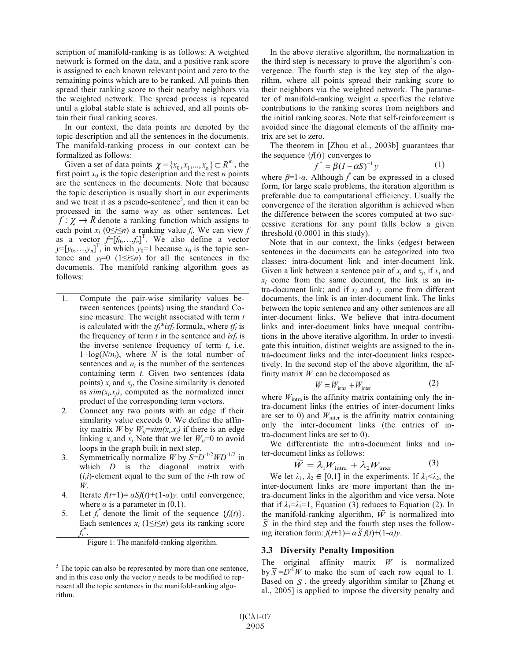scription of manifold-ranking is as follows: A weighted network is formed on the data, and a positive rank score is assigned to each known relevant point and zero to the remaining points which are to be ranked. All points then spread their ranking score to their nearby neighbors via the weighted network. The spread process is repeated until a global stable state is achieved, and all points obtain their final ranking scores.

In our context, the data points are denoted by the topic description and all the sentences in the documents. The manifold-ranking process in our context can be formalized as follows:

Given a set of data points  $\chi = \{x_0, x_1, ..., x_n\} \subset R^m$ , the first point  $x_0$  is the topic description and the rest *n* points are the sentences in the documents. Note that because the topic description is usually short in our experiments and we treat it as a pseudo-sentence<sup>5</sup>, and then it can be processed in the same way as other sentences. Let  $f: \chi \rightarrow R$  denote a ranking function which assigns to each point  $x_i$  ( $0 \le i \le n$ ) a ranking value  $f_i$ . We can view  $f$ as a vector  $f=[f_0,...,f_n]^T$ . We also define a vector  $y=[y_0,...,y_n]^T$ , in which  $y_0=1$  because  $x_0$  is the topic sentence and  $y_i=0$  ( $1 \le i \le n$ ) for all the sentences in the documents. The manifold ranking algorithm goes as follows:

- 1. Compute the pair-wise similarity values between sentences (points) using the standard Cosine measure. The weight associated with term *t* is calculated with the  $tf_t * isf_t$  formula, where  $tf_t$  is the frequency of term  $t$  in the sentence and  $isf_t$  is the inverse sentence frequency of term *t*, i.e.  $1 + \log(N/n_t)$ , where *N* is the total number of sentences and  $n_t$  is the number of the sentences containing term *t*. Given two sentences (data points)  $x_i$  and  $x_j$ , the Cosine similarity is denoted as  $sim(x<sub>i</sub>,x<sub>i</sub>)$ , computed as the normalized inner product of the corresponding term vectors.
- 2. Connect any two points with an edge if their similarity value exceeds 0. We define the affinity matrix *W* by  $W_{ii} = \frac{sim(x_i, x_i)}{sim(x_i, x_i)}$  if there is an edge linking  $x_i$  and  $x_j$ . Note that we let  $W_{ii}=0$  to avoid loops in the graph built in next step.
- 3. Symmetrically normalize *W* by  $S = D^{-1/2} W D^{-1/2}$  in which *D* is the diagonal matrix with  $(i,i)$ -element equal to the sum of the *i*-th row of *W*.
- 4. Iterate  $f(t+1) = \alpha Sf(t) + (1-\alpha)y$ . until convergence, where  $\alpha$  is a parameter in (0,1).
- 5. Let  $f_i^*$  denote the limit of the sequence  $\{f_i(t)\}.$ Each sentences  $x_i$  ( $1 \le i \le n$ ) gets its ranking score *fi* \* .

In the above iterative algorithm, the normalization in the third step is necessary to prove the algorithm's convergence. The fourth step is the key step of the algorithm, where all points spread their ranking score to their neighbors via the weighted network. The parameter of manifold-ranking weight  $\alpha$  specifies the relative contributions to the ranking scores from neighbors and the initial ranking scores. Note that self-reinforcement is avoided since the diagonal elements of the affinity matrix are set to zero.

The theorem in [Zhou et al., 2003b] guarantees that the sequence  $\{f(t)\}\$  converges to

$$
f^* = \beta (I - \alpha S)^{-1} y \tag{1}
$$

where  $\beta=1-\alpha$ . Although  $\dot{f}$  can be expressed in a closed form, for large scale problems, the iteration algorithm is preferable due to computational efficiency. Usually the convergence of the iteration algorithm is achieved when the difference between the scores computed at two successive iterations for any point falls below a given threshold (0.0001 in this study).

Note that in our context, the links (edges) between sentences in the documents can be categorized into two classes: intra-document link and inter-document link. Given a link between a sentence pair of  $x_i$  and  $x_j$ , if  $x_i$  and  $x_i$  come from the same document, the link is an intra-document link; and if  $x_i$  and  $x_j$  come from different documents, the link is an inter-document link. The links between the topic sentence and any other sentences are all inter-document links. We believe that intra-document links and inter-document links have unequal contributions in the above iterative algorithm. In order to investigate this intuition, distinct weights are assigned to the intra-document links and the inter-document links respectively. In the second step of the above algorithm, the affinity matrix *W* can be decomposed as

$$
W = W_{\text{intra}} + W_{\text{inter}} \tag{2}
$$

where  $W_{\text{intra}}$  is the affinity matrix containing only the intra-document links (the entries of inter-document links are set to 0) and  $W_{\text{inter}}$  is the affinity matrix containing only the inter-document links (the entries of intra-document links are set to 0).

We differentiate the intra-document links and inter-document links as follows:<br> $\widetilde{W} = 3 W + 3$ 

$$
\widetilde{W} = \lambda_1 W_{\text{intra}} + \lambda_2 W_{\text{inter}} \tag{3}
$$

We let  $\lambda_1, \lambda_2 \in [0,1]$  in the experiments. If  $\lambda_1 < \lambda_2$ , the inter-document links are more important than the intra-document links in the algorithm and vice versa. Note that if  $\lambda_1 = \lambda_2 = 1$ , Equation (3) reduces to Equation (2). In the manifold-ranking algorithm,  $\widetilde{W}$  is normalized into  $\tilde{S}$  in the third step and the fourth step uses the following iteration form:  $f(t+1) = \alpha \tilde{S} f(t)+(1-\alpha)y$ .

### **3.3 Diversity Penalty Imposition**

The original affinity matrix *W* is normalized by  $\overline{S} = D^{-1}W$  to make the sum of each row equal to 1. Based on  $\overline{S}$ , the greedy algorithm similar to [Zhang et al., 2005] is applied to impose the diversity penalty and

Figure 1: The manifold-ranking algorithm.

 $<sup>5</sup>$  The topic can also be represented by more than one sentence,</sup> and in this case only the vector  $\nu$  needs to be modified to represent all the topic sentences in the manifold-ranking algorithm.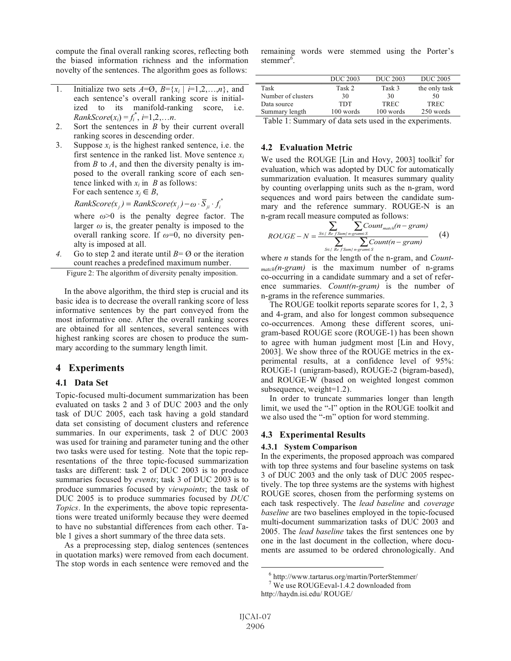compute the final overall ranking scores, reflecting both the biased information richness and the information novelty of the sentences. The algorithm goes as follows:

- 1. Initialize two sets  $A=Ø$ ,  $B=\{x_i \mid i=1,2,...,n\}$ , and each sentence's overall ranking score is initialized to its manifold-ranking score, i.e.  $RankScore(x_i) = f_i^*, i=1,2,...,n.$
- 2. Sort the sentences in *B* by their current overall ranking scores in descending order.
- 3. Suppose  $x_i$  is the highest ranked sentence, i.e. the first sentence in the ranked list. Move sentence *xi* from *B* to *A*, and then the diversity penalty is imposed to the overall ranking score of each sentence linked with  $x_i$  in  $B$  as follows: For each sentence  $x_i \in B$ ,

 $RankScore(x_j) = RankScore(x_j) - \omega \cdot \overline{S}_{ji} \cdot f_i^*$ 

where  $\omega$ >0 is the penalty degree factor. The larger  $\omega$  is, the greater penalty is imposed to the overall ranking score. If  $\omega=0$ , no diversity penalty is imposed at all.

*4.* Go to step 2 and iterate until *B*= Ø or the iteration count reaches a predefined maximum number.

Figure 2: The algorithm of diversity penalty imposition.

In the above algorithm, the third step is crucial and its basic idea is to decrease the overall ranking score of less informative sentences by the part conveyed from the most informative one. After the overall ranking scores are obtained for all sentences, several sentences with highest ranking scores are chosen to produce the summary according to the summary length limit.

### **4 Experiments**

### **4.1 Data Set**

Topic-focused multi-document summarization has been evaluated on tasks 2 and 3 of DUC 2003 and the only task of DUC 2005, each task having a gold standard data set consisting of document clusters and reference summaries. In our experiments, task 2 of DUC 2003 was used for training and parameter tuning and the other two tasks were used for testing. Note that the topic representations of the three topic-focused summarization tasks are different: task 2 of DUC 2003 is to produce summaries focused by *events*; task 3 of DUC 2003 is to produce summaries focused by *viewpoints*; the task of DUC 2005 is to produce summaries focused by *DUC Topics*. In the experiments, the above topic representations were treated uniformly because they were deemed to have no substantial differences from each other. Table 1 gives a short summary of the three data sets.

As a preprocessing step, dialog sentences (sentences in quotation marks) were removed from each document. The stop words in each sentence were removed and the

remaining words were stemmed using the Porter's stemmer $6$ .

|                    | <b>DUC 2003</b> | <b>DUC 2003</b> | <b>DUC 2005</b> |
|--------------------|-----------------|-----------------|-----------------|
| Task               | Task 2          | Task 3          | the only task   |
| Number of clusters | 30              | 30              | 50              |
| Data source        | <b>TDT</b>      | <b>TREC</b>     | <b>TREC</b>     |
| Summary length     | 100 words       | 100 words       | 250 words       |
| <b>m</b> 1 1 1     | $\sim$ 1.       | 1.7.1           |                 |

Table 1: Summary of data sets used in the experiments.

#### **4.2 Evaluation Metric**

We used the ROUGE [Lin and Hovy, 2003] toolkit<sup>7</sup> for evaluation, which was adopted by DUC for automatically summarization evaluation. It measures summary quality by counting overlapping units such as the n-gram, word sequences and word pairs between the candidate summary and the reference summary. ROUGE-N is an n-gram recall measure computed as follows:

$$
ROUGE - N = \frac{\sum_{S \in \{Ref\;(Num) \; n\text{-grames}\}} \sum_{S \in \{Ref\;Sum\} \; n\text{-grames}} Count(n - gram)}{\sum_{S \in \{Ref\;Num\} \; n\text{-grames}} Count(n - gram)} \tag{4}
$$

where *n* stands for the length of the n-gram, and *Countmatch(n-gram)* is the maximum number of n-grams co-occurring in a candidate summary and a set of reference summaries. *Count(n-gram)* is the number of n-grams in the reference summaries.

The ROUGE toolkit reports separate scores for 1, 2, 3 and 4-gram, and also for longest common subsequence co-occurrences. Among these different scores, unigram-based ROUGE score (ROUGE-1) has been shown to agree with human judgment most [Lin and Hovy, 2003]. We show three of the ROUGE metrics in the experimental results, at a confidence level of 95%: ROUGE-1 (unigram-based), ROUGE-2 (bigram-based), and ROUGE-W (based on weighted longest common subsequence, weight=1.2).

In order to truncate summaries longer than length limit, we used the "-l" option in the ROUGE toolkit and we also used the "-m" option for word stemming.

### **4.3 Experimental Results**

#### **4.3.1 System Comparison**

In the experiments, the proposed approach was compared with top three systems and four baseline systems on task 3 of DUC 2003 and the only task of DUC 2005 respectively. The top three systems are the systems with highest ROUGE scores, chosen from the performing systems on each task respectively. The *lead baseline* and *coverage baseline* are two baselines employed in the topic-focused multi-document summarization tasks of DUC 2003 and 2005. The *lead baseline* takes the first sentences one by one in the last document in the collection, where documents are assumed to be ordered chronologically. And

 $6$  http://www.tartarus.org/martin/PorterStemmer/

<sup>7</sup> We use ROUGEeval-1.4.2 downloaded from

http://haydn.isi.edu/ ROUGE/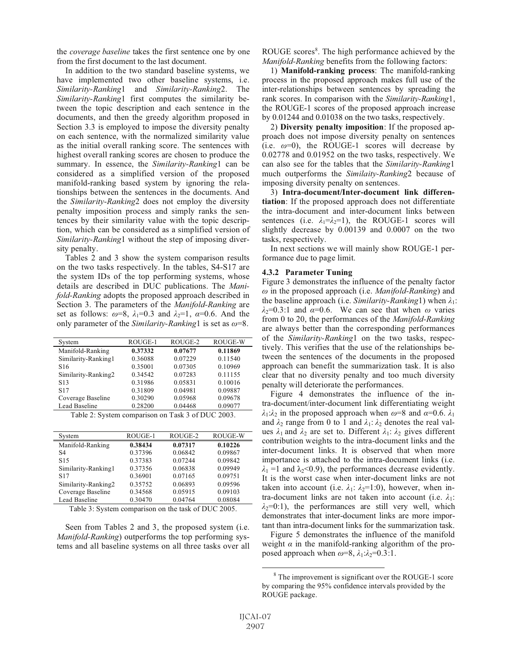the *coverage baseline* takes the first sentence one by one from the first document to the last document.

In addition to the two standard baseline systems, we have implemented two other baseline systems, i.e. *Similarity-Ranking*1 and *Similarity-Ranking*2. The *Similarity-Ranking*1 first computes the similarity between the topic description and each sentence in the documents, and then the greedy algorithm proposed in Section 3.3 is employed to impose the diversity penalty on each sentence, with the normalized similarity value as the initial overall ranking score. The sentences with highest overall ranking scores are chosen to produce the summary. In essence, the *Similarity-Ranking*1 can be considered as a simplified version of the proposed manifold-ranking based system by ignoring the relationships between the sentences in the documents. And the *Similarity-Ranking*2 does not employ the diversity penalty imposition process and simply ranks the sentences by their similarity value with the topic description, which can be considered as a simplified version of *Similarity-Ranking*1 without the step of imposing diversity penalty.

Tables 2 and 3 show the system comparison results on the two tasks respectively. In the tables, S4-S17 are the system IDs of the top performing systems, whose details are described in DUC publications. The *Manifold-Ranking* adopts the proposed approach described in Section 3. The parameters of the *Manifold-Ranking* are set as follows:  $\omega=8$ ,  $\lambda_1=0.3$  and  $\lambda_2=1$ ,  $\alpha=0.6$ . And the only parameter of the *Similarity-Ranking* 1 is set as  $\omega = 8$ .

| System              | ROUGE-1 | ROUGE-2 | <b>ROUGE-W</b> |  |
|---------------------|---------|---------|----------------|--|
| Manifold-Ranking    | 0.37332 | 0.07677 | 0.11869        |  |
| Similarity-Ranking1 | 0.36088 | 0.07229 | 0.11540        |  |
| S <sub>16</sub>     | 0.35001 | 0.07305 | 0.10969        |  |
| Similarity-Ranking2 | 0.34542 | 0.07283 | 0.11155        |  |
| S <sub>13</sub>     | 0.31986 | 0.05831 | 0.10016        |  |
| S <sub>17</sub>     | 0.31809 | 0.04981 | 0.09887        |  |
| Coverage Baseline   | 0.30290 | 0.05968 | 0.09678        |  |
| Lead Baseline       | 0.28200 | 0.04468 | 0.09077        |  |
|                     |         |         |                |  |

| Table 2: System comparison on Task 3 of DUC 2003. |  |  |
|---------------------------------------------------|--|--|
|                                                   |  |  |

| Svstem              | ROUGE-1 | ROUGE-2 | ROUGE-W |
|---------------------|---------|---------|---------|
| Manifold-Ranking    | 0.38434 | 0.07317 | 0.10226 |
| S4                  | 0.37396 | 0.06842 | 0.09867 |
| S <sub>15</sub>     | 0.37383 | 0.07244 | 0.09842 |
| Similarity-Ranking1 | 0.37356 | 0.06838 | 0.09949 |
| S <sub>17</sub>     | 0.36901 | 0.07165 | 0.09751 |
| Similarity-Ranking2 | 0.35752 | 0.06893 | 0.09596 |
| Coverage Baseline   | 0.34568 | 0.05915 | 0.09103 |
| Lead Baseline       | 0.30470 | 0.04764 | 0.08084 |
|                     |         |         |         |

Table 3: System comparison on the task of DUC 2005.

Seen from Tables 2 and 3, the proposed system (i.e. *Manifold-Ranking*) outperforms the top performing systems and all baseline systems on all three tasks over all

ROUGE scores<sup>8</sup>. The high performance achieved by the *Manifold-Ranking* benefits from the following factors:

1) **Manifold-ranking process**: The manifold-ranking process in the proposed approach makes full use of the inter-relationships between sentences by spreading the rank scores. In comparison with the *Similarity-Ranking*1, the ROUGE-1 scores of the proposed approach increase by 0.01244 and 0.01038 on the two tasks, respectively.

2) **Diversity penalty imposition**: If the proposed approach does not impose diversity penalty on sentences (i.e.  $\omega=0$ ), the ROUGE-1 scores will decrease by 0.02778 and 0.01952 on the two tasks, respectively. We can also see for the tables that the *Similarity-Ranking*1 much outperforms the *Similaity-Ranking*2 because of imposing diversity penalty on sentences.

3) **Intra-document/Inter-document link differentiation**: If the proposed approach does not differentiate the intra-document and inter-document links between sentences (i.e.  $\lambda_1 = \lambda_2 = 1$ ), the ROUGE-1 scores will slightly decrease by 0.00139 and 0.0007 on the two tasks, respectively.

In next sections we will mainly show ROUGE-1 performance due to page limit.

#### **4.3.2 Parameter Tuning**

Figure 3 demonstrates the influence of the penalty factor  $\omega$  in the proposed approach (i.e. *Manifold-Ranking*) and the baseline approach (i.e. *Similarity-Ranking*1) when  $\lambda_1$ :  $\lambda_2=0.3:1$  and  $\alpha=0.6$ . We can see that when  $\omega$  varies from 0 to 20, the performances of the *Manifold-Ranking* are always better than the corresponding performances of the *Similarity-Ranking*1 on the two tasks, respectively. This verifies that the use of the relationships between the sentences of the documents in the proposed approach can benefit the summarization task. It is also clear that no diversity penalty and too much diversity penalty will deteriorate the performances.

Figure 4 demonstrates the influence of the intra-document/inter-document link differentiating weight  $\lambda_1:\lambda_2$  in the proposed approach when  $\omega=8$  and  $\alpha=0.6$ .  $\lambda_1$ and  $\lambda_2$  range from 0 to 1 and  $\lambda_1$ :  $\lambda_2$  denotes the real values  $\lambda_1$  and  $\lambda_2$  are set to. Different  $\lambda_1$ :  $\lambda_2$  gives different contribution weights to the intra-document links and the inter-document links. It is observed that when more importance is attached to the intra-document links (i.e.  $\lambda_1$  =1 and  $\lambda_2$ <0.9), the performances decrease evidently. It is the worst case when inter-document links are not taken into account (i.e.  $\lambda_1$ :  $\lambda_2=1:0$ ), however, when intra-document links are not taken into account (i.e.  $\lambda_1$ :  $\lambda_2=0:1$ ), the performances are still very well, which demonstrates that inter-document links are more important than intra-document links for the summarization task.

Figure 5 demonstrates the influence of the manifold weight  $\alpha$  in the manifold-ranking algorithm of the proposed approach when  $\omega=8$ ,  $\lambda_1:\lambda_2=0.3:1$ .

<sup>&</sup>lt;sup>8</sup> The improvement is significant over the ROUGE-1 score by comparing the 95% confidence intervals provided by the ROUGE package.